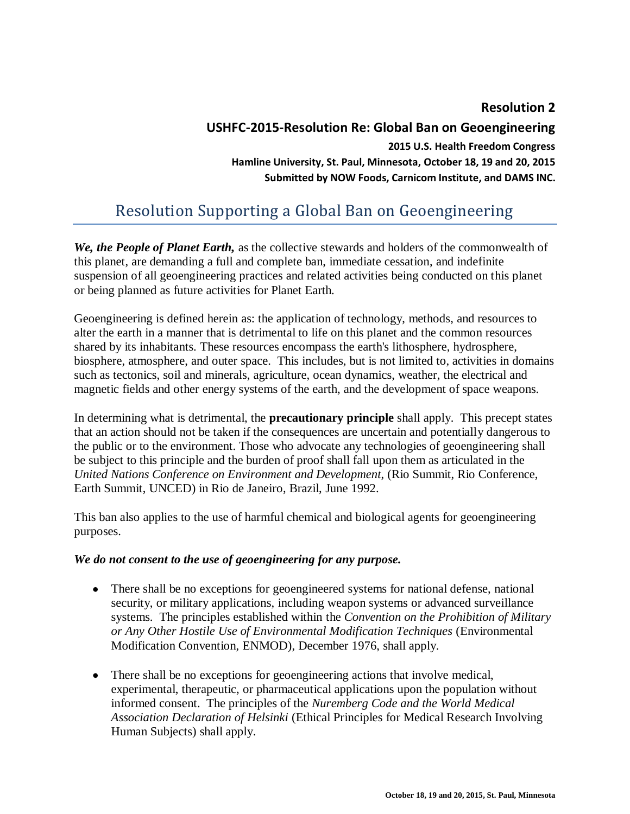## **Resolution 2**

## **USHFC-2015-Resolution Re: Global Ban on Geoengineering 2015 U.S. Health Freedom Congress Hamline University, St. Paul, Minnesota, October 18, 19 and 20, 2015 Submitted by NOW Foods, Carnicom Institute, and DAMS INC.**

# Resolution Supporting a Global Ban on Geoengineering

*We, the People of Planet Earth,* as the collective stewards and holders of the commonwealth of this planet, are demanding a full and complete ban, immediate cessation, and indefinite suspension of all geoengineering practices and related activities being conducted on this planet or being planned as future activities for Planet Earth.

Geoengineering is defined herein as: the application of technology, methods, and resources to alter the earth in a manner that is detrimental to life on this planet and the common resources shared by its inhabitants. These resources encompass the earth's lithosphere, hydrosphere, biosphere, atmosphere, and outer space. This includes, but is not limited to, activities in domains such as tectonics, soil and minerals, agriculture, ocean dynamics, weather, the electrical and magnetic fields and other energy systems of the earth, and the development of space weapons.

In determining what is detrimental, the **precautionary principle** shall apply. This precept states that an action should not be taken if the consequences are uncertain and potentially dangerous to the public or to the environment. Those who advocate any technologies of geoengineering shall be subject to this principle and the burden of proof shall fall upon them as articulated in the *United Nations Conference on Environment and Development*, (Rio Summit, Rio Conference, Earth Summit, UNCED) in Rio de Janeiro, Brazil, June 1992.

This ban also applies to the use of harmful chemical and biological agents for geoengineering purposes.

#### *We do not consent to the use of geoengineering for any purpose.*

- There shall be no exceptions for geoengineered systems for national defense, national security, or military applications, including weapon systems or advanced surveillance systems. The principles established within the *Convention on the Prohibition of Military or Any Other Hostile Use of Environmental Modification Techniques* (Environmental Modification Convention, ENMOD), December 1976, shall apply.
- There shall be no exceptions for geoengineering actions that involve medical, experimental, therapeutic, or pharmaceutical applications upon the population without informed consent. The principles of the *Nuremberg Code and the World Medical Association Declaration of Helsinki* (Ethical Principles for Medical Research Involving Human Subjects) shall apply.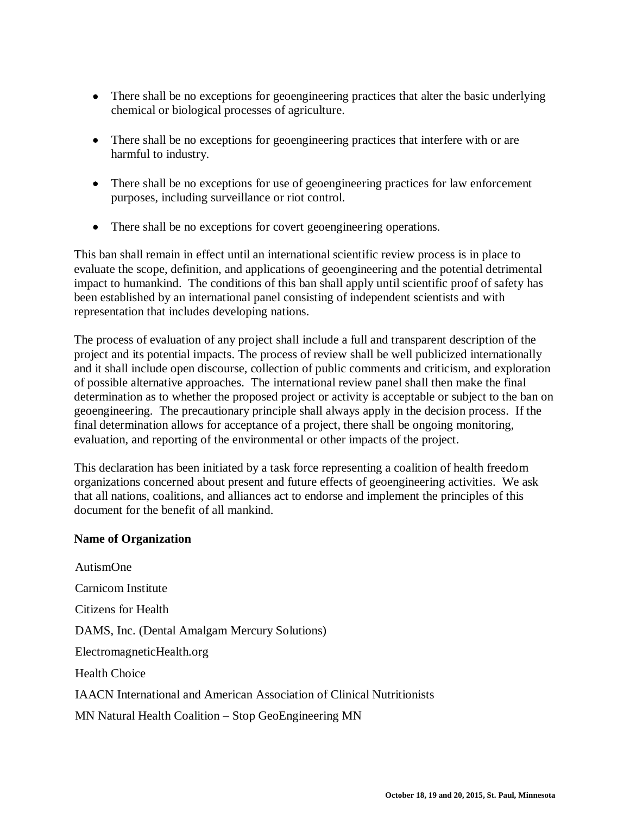- There shall be no exceptions for geoengineering practices that alter the basic underlying chemical or biological processes of agriculture.
- There shall be no exceptions for geoengineering practices that interfere with or are harmful to industry.
- There shall be no exceptions for use of geoengineering practices for law enforcement purposes, including surveillance or riot control.
- There shall be no exceptions for covert geoengineering operations.

This ban shall remain in effect until an international scientific review process is in place to evaluate the scope, definition, and applications of geoengineering and the potential detrimental impact to humankind. The conditions of this ban shall apply until scientific proof of safety has been established by an international panel consisting of independent scientists and with representation that includes developing nations.

The process of evaluation of any project shall include a full and transparent description of the project and its potential impacts. The process of review shall be well publicized internationally and it shall include open discourse, collection of public comments and criticism, and exploration of possible alternative approaches. The international review panel shall then make the final determination as to whether the proposed project or activity is acceptable or subject to the ban on geoengineering. The precautionary principle shall always apply in the decision process. If the final determination allows for acceptance of a project, there shall be ongoing monitoring, evaluation, and reporting of the environmental or other impacts of the project.

This declaration has been initiated by a task force representing a coalition of health freedom organizations concerned about present and future effects of geoengineering activities. We ask that all nations, coalitions, and alliances act to endorse and implement the principles of this document for the benefit of all mankind.

### **Name of Organization**

AutismOne Carnicom Institute Citizens for Health DAMS, Inc. (Dental Amalgam Mercury Solutions) ElectromagneticHealth.org Health Choice IAACN International and American Association of Clinical Nutritionists MN Natural Health Coalition – Stop GeoEngineering MN